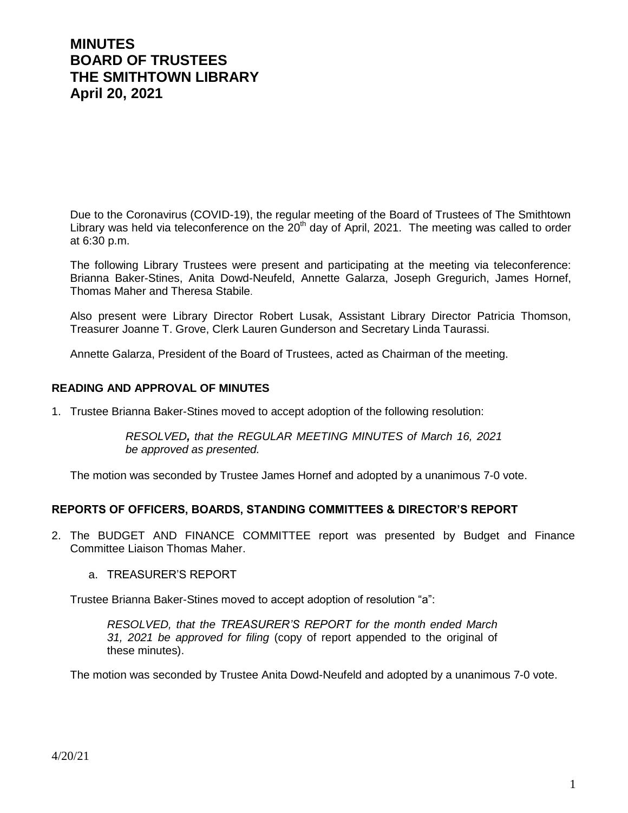# **MINUTES BOARD OF TRUSTEES THE SMITHTOWN LIBRARY April 20, 2021**

Due to the Coronavirus (COVID-19), the regular meeting of the Board of Trustees of The Smithtown Library was held via teleconference on the 20<sup>th</sup> day of April, 2021. The meeting was called to order at 6:30 p.m.

The following Library Trustees were present and participating at the meeting via teleconference: Brianna Baker-Stines, Anita Dowd-Neufeld, Annette Galarza, Joseph Gregurich, James Hornef, Thomas Maher and Theresa Stabile.

Also present were Library Director Robert Lusak, Assistant Library Director Patricia Thomson, Treasurer Joanne T. Grove, Clerk Lauren Gunderson and Secretary Linda Taurassi.

Annette Galarza, President of the Board of Trustees, acted as Chairman of the meeting.

#### **READING AND APPROVAL OF MINUTES**

1. Trustee Brianna Baker-Stines moved to accept adoption of the following resolution:

*RESOLVED, that the REGULAR MEETING MINUTES of March 16, 2021 be approved as presented.*

The motion was seconded by Trustee James Hornef and adopted by a unanimous 7-0 vote.

#### **REPORTS OF OFFICERS, BOARDS, STANDING COMMITTEES & DIRECTOR'S REPORT**

- 2. The BUDGET AND FINANCE COMMITTEE report was presented by Budget and Finance Committee Liaison Thomas Maher.
	- a. TREASURER'S REPORT

Trustee Brianna Baker-Stines moved to accept adoption of resolution "a":

*RESOLVED, that the TREASURER'S REPORT for the month ended March 31, 2021 be approved for filing* (copy of report appended to the original of these minutes).

The motion was seconded by Trustee Anita Dowd-Neufeld and adopted by a unanimous 7-0 vote.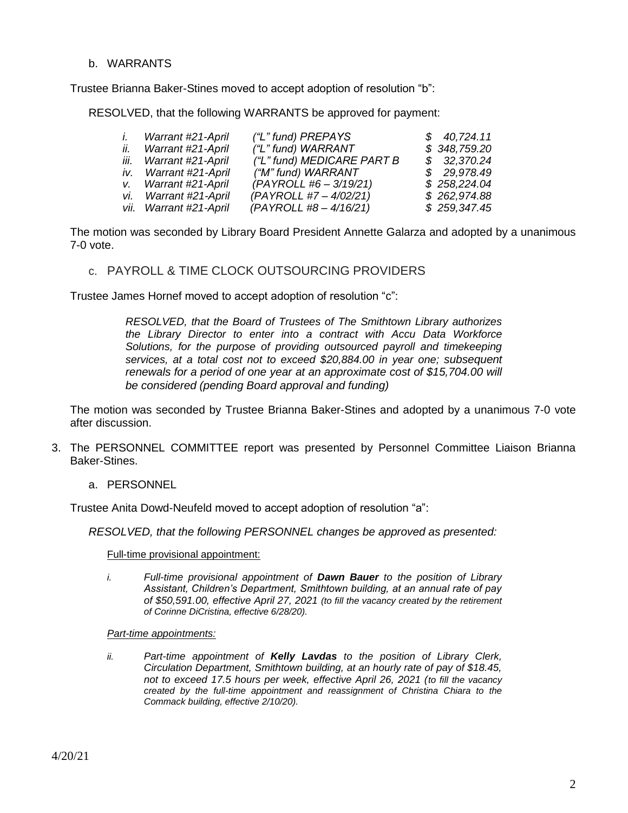#### b. WARRANTS

Trustee Brianna Baker-Stines moved to accept adoption of resolution "b":

RESOLVED, that the following WARRANTS be approved for payment:

| İ. | Warrant #21-April      | ("L" fund) PREPAYS         | \$40,724.11  |
|----|------------------------|----------------------------|--------------|
|    | ii. Warrant #21-April  | ("L" fund) WARRANT         | \$348,759.20 |
|    | iii. Warrant #21-April | ("L" fund) MEDICARE PART B | \$32,370.24  |
|    | iv. Warrant #21-April  | ("M" fund) WARRANT         | \$29,978.49  |
|    | v. Warrant #21-April   | $(PAYROLL #6 - 3/19/21)$   | \$258,224.04 |
|    | vi. Warrant #21-April  | (PAYROLL #7 - 4/02/21)     | \$262,974.88 |
|    | vii. Warrant #21-April | $(PAYROLL #8 - 4/16/21)$   | \$259,347.45 |

The motion was seconded by Library Board President Annette Galarza and adopted by a unanimous 7-0 vote.

# c. PAYROLL & TIME CLOCK OUTSOURCING PROVIDERS

Trustee James Hornef moved to accept adoption of resolution "c":

*RESOLVED, that the Board of Trustees of The Smithtown Library authorizes the Library Director to enter into a contract with Accu Data Workforce Solutions, for the purpose of providing outsourced payroll and timekeeping services, at a total cost not to exceed \$20,884.00 in year one; subsequent renewals for a period of one year at an approximate cost of \$15,704.00 will be considered (pending Board approval and funding)* 

The motion was seconded by Trustee Brianna Baker-Stines and adopted by a unanimous 7-0 vote after discussion.

- 3. The PERSONNEL COMMITTEE report was presented by Personnel Committee Liaison Brianna Baker-Stines.
	- a. PERSONNEL

Trustee Anita Dowd-Neufeld moved to accept adoption of resolution "a":

*RESOLVED, that the following PERSONNEL changes be approved as presented:*

Full-time provisional appointment:

- *i. Full-time provisional appointment of Dawn Bauer to the position of Library Assistant, Children's Department, Smithtown building, at an annual rate of pay of \$50,591.00, effective April 27, 2021 (to fill the vacancy created by the retirement of Corinne DiCristina, effective 6/28/20).*
- *Part-time appointments:*
- *ii. Part-time appointment of Kelly Lavdas to the position of Library Clerk, Circulation Department, Smithtown building, at an hourly rate of pay of \$18.45, not to exceed 17.5 hours per week, effective April 26, 2021 (to fill the vacancy created by the full-time appointment and reassignment of Christina Chiara to the Commack building, effective 2/10/20).*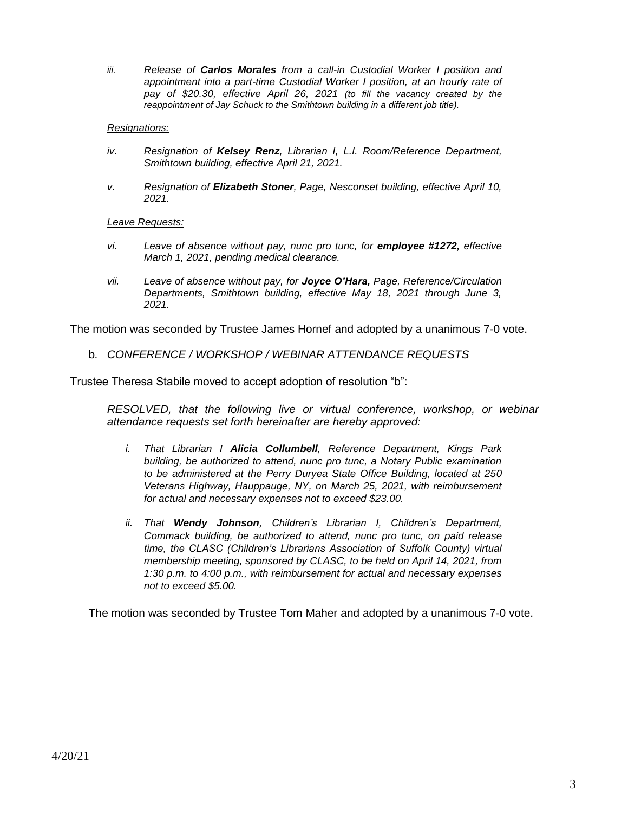*iii. Release of Carlos Morales from a call-in Custodial Worker I position and appointment into a part-time Custodial Worker I position, at an hourly rate of pay of \$20.30, effective April 26, 2021 (to fill the vacancy created by the reappointment of Jay Schuck to the Smithtown building in a different job title).*

#### *Resignations:*

- *iv. Resignation of Kelsey Renz, Librarian I, L.I. Room/Reference Department, Smithtown building, effective April 21, 2021.*
- *v. Resignation of Elizabeth Stoner, Page, Nesconset building, effective April 10, 2021.*

#### *Leave Requests:*

- *vi. Leave of absence without pay, nunc pro tunc, for employee #1272, effective March 1, 2021, pending medical clearance.*
- *vii. Leave of absence without pay, for Joyce O'Hara, Page, Reference/Circulation Departments, Smithtown building, effective May 18, 2021 through June 3, 2021.*

The motion was seconded by Trustee James Hornef and adopted by a unanimous 7-0 vote.

b*. CONFERENCE / WORKSHOP / WEBINAR ATTENDANCE REQUESTS*

Trustee Theresa Stabile moved to accept adoption of resolution "b":

*RESOLVED, that the following live or virtual conference, workshop, or webinar attendance requests set forth hereinafter are hereby approved:*

- *i. That Librarian I Alicia Collumbell, Reference Department, Kings Park building, be authorized to attend, nunc pro tunc, a Notary Public examination to be administered at the Perry Duryea State Office Building, located at 250 Veterans Highway, Hauppauge, NY, on March 25, 2021, with reimbursement for actual and necessary expenses not to exceed \$23.00.*
- *ii. That Wendy Johnson, Children's Librarian I, Children's Department, Commack building, be authorized to attend, nunc pro tunc, on paid release time, the CLASC (Children's Librarians Association of Suffolk County) virtual membership meeting, sponsored by CLASC, to be held on April 14, 2021, from 1:30 p.m. to 4:00 p.m., with reimbursement for actual and necessary expenses not to exceed \$5.00.*

The motion was seconded by Trustee Tom Maher and adopted by a unanimous 7-0 vote.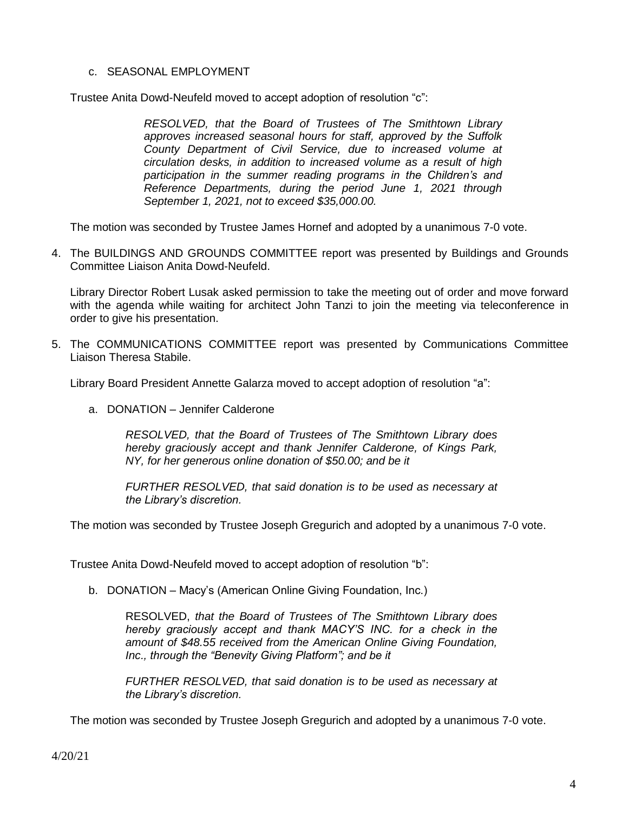#### c. SEASONAL EMPLOYMENT

Trustee Anita Dowd-Neufeld moved to accept adoption of resolution "c":

*RESOLVED, that the Board of Trustees of The Smithtown Library approves increased seasonal hours for staff, approved by the Suffolk County Department of Civil Service, due to increased volume at circulation desks, in addition to increased volume as a result of high participation in the summer reading programs in the Children's and Reference Departments, during the period June 1, 2021 through September 1, 2021, not to exceed \$35,000.00.*

The motion was seconded by Trustee James Hornef and adopted by a unanimous 7-0 vote.

4. The BUILDINGS AND GROUNDS COMMITTEE report was presented by Buildings and Grounds Committee Liaison Anita Dowd-Neufeld.

Library Director Robert Lusak asked permission to take the meeting out of order and move forward with the agenda while waiting for architect John Tanzi to join the meeting via teleconference in order to give his presentation.

5. The COMMUNICATIONS COMMITTEE report was presented by Communications Committee Liaison Theresa Stabile.

Library Board President Annette Galarza moved to accept adoption of resolution "a":

a. DONATION – Jennifer Calderone

*RESOLVED, that the Board of Trustees of The Smithtown Library does hereby graciously accept and thank Jennifer Calderone, of Kings Park, NY, for her generous online donation of \$50.00; and be it*

*FURTHER RESOLVED, that said donation is to be used as necessary at the Library's discretion.*

The motion was seconded by Trustee Joseph Gregurich and adopted by a unanimous 7-0 vote.

Trustee Anita Dowd-Neufeld moved to accept adoption of resolution "b":

b. DONATION – Macy's (American Online Giving Foundation, Inc.)

RESOLVED, *that the Board of Trustees of The Smithtown Library does hereby graciously accept and thank MACY'S INC. for a check in the amount of \$48.55 received from the American Online Giving Foundation, Inc., through the "Benevity Giving Platform"; and be it*

*FURTHER RESOLVED, that said donation is to be used as necessary at the Library's discretion.*

The motion was seconded by Trustee Joseph Gregurich and adopted by a unanimous 7-0 vote.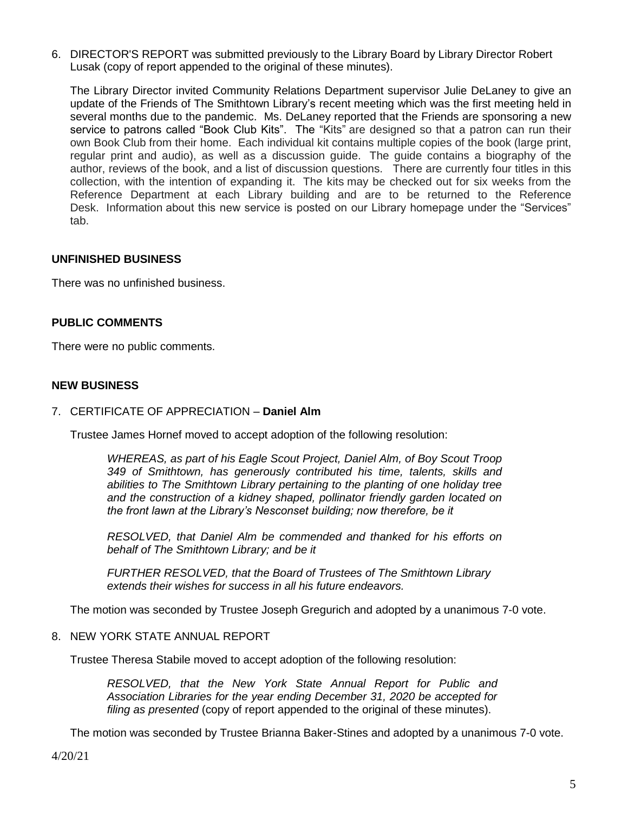6. DIRECTOR'S REPORT was submitted previously to the Library Board by Library Director Robert Lusak (copy of report appended to the original of these minutes).

The Library Director invited Community Relations Department supervisor Julie DeLaney to give an update of the Friends of The Smithtown Library's recent meeting which was the first meeting held in several months due to the pandemic. Ms. DeLaney reported that the Friends are sponsoring a new service to patrons called "Book Club Kits". The "Kits" are designed so that a patron can run their own Book Club from their home. Each individual kit contains multiple copies of the book (large print, regular print and audio), as well as a discussion guide. The guide contains a biography of the author, reviews of the book, and a list of discussion questions. There are currently four titles in this collection, with the intention of expanding it. The kits may be checked out for six weeks from the Reference Department at each Library building and are to be returned to the Reference Desk. Information about this new service is posted on our Library homepage under the "Services" tab.

# **UNFINISHED BUSINESS**

There was no unfinished business.

#### **PUBLIC COMMENTS**

There were no public comments.

#### **NEW BUSINESS**

#### 7. CERTIFICATE OF APPRECIATION – **Daniel Alm**

Trustee James Hornef moved to accept adoption of the following resolution:

*WHEREAS, as part of his Eagle Scout Project, Daniel Alm, of Boy Scout Troop 349 of Smithtown, has generously contributed his time, talents, skills and abilities to The Smithtown Library pertaining to the planting of one holiday tree and the construction of a kidney shaped, pollinator friendly garden located on the front lawn at the Library's Nesconset building; now therefore, be it* 

*RESOLVED, that Daniel Alm be commended and thanked for his efforts on behalf of The Smithtown Library; and be it*

*FURTHER RESOLVED, that the Board of Trustees of The Smithtown Library extends their wishes for success in all his future endeavors.*

The motion was seconded by Trustee Joseph Gregurich and adopted by a unanimous 7-0 vote.

#### 8. NEW YORK STATE ANNUAL REPORT

Trustee Theresa Stabile moved to accept adoption of the following resolution:

*RESOLVED, that the New York State Annual Report for Public and Association Libraries for the year ending December 31, 2020 be accepted for filing as presented* (copy of report appended to the original of these minutes).

The motion was seconded by Trustee Brianna Baker-Stines and adopted by a unanimous 7-0 vote.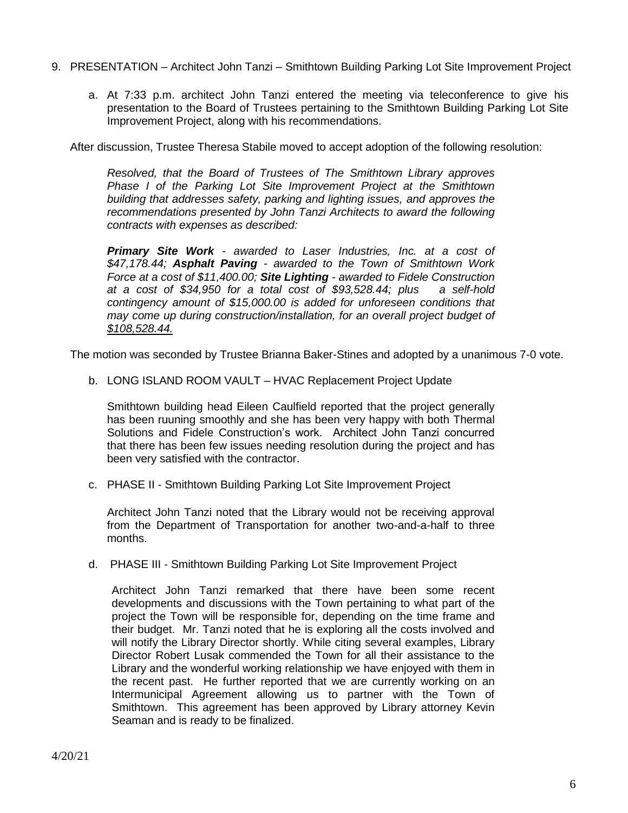- 9. PRESENTATION Architect John Tanzi Smithtown Building Parking Lot Site Improvement Project
	- a. At 7:33 p.m. architect John Tanzi entered the meeting via teleconference to give his presentation to the Board of Trustees pertaining to the Smithtown Building Parking Lot Site Improvement Project, along with his recommendations.

After discussion, Trustee Theresa Stabile moved to accept adoption of the following resolution:

*Resolved, that the Board of Trustees of The Smithtown Library approves Phase I of the Parking Lot Site Improvement Project at the Smithtown building that addresses safety, parking and lighting issues, and approves the recommendations presented by John Tanzi Architects to award the following contracts with expenses as described:* 

*Primary Site Work - awarded to Laser Industries, Inc. at a cost of \$47,178.44; Asphalt Paving - awarded to the Town of Smithtown Work Force at a cost of \$11,400.00; Site Lighting - awarded to Fidele Construction at a cost of \$34,950 for a total cost of \$93,528.44; plus a self-hold contingency amount of \$15,000.00 is added for unforeseen conditions that may come up during construction/installation, for an overall project budget of \$108,528.44.*

The motion was seconded by Trustee Brianna Baker-Stines and adopted by a unanimous 7-0 vote.

b. LONG ISLAND ROOM VAULT – HVAC Replacement Project Update

Smithtown building head Eileen Caulfield reported that the project generally has been ruuning smoothly and she has been very happy with both Thermal Solutions and Fidele Construction's work. Architect John Tanzi concurred that there has been few issues needing resolution during the project and has been very satisfied with the contractor.

c. PHASE II - Smithtown Building Parking Lot Site Improvement Project

Architect John Tanzi noted that the Library would not be receiving approval from the Department of Transportation for another two-and-a-half to three months.

d. PHASE III - Smithtown Building Parking Lot Site Improvement Project

Architect John Tanzi remarked that there have been some recent developments and discussions with the Town pertaining to what part of the project the Town will be responsible for, depending on the time frame and their budget. Mr. Tanzi noted that he is exploring all the costs involved and will notify the Library Director shortly. While citing several examples, Library Director Robert Lusak commended the Town for all their assistance to the Library and the wonderful working relationship we have enjoyed with them in the recent past. He further reported that we are currently working on an Intermunicipal Agreement allowing us to partner with the Town of Smithtown. This agreement has been approved by Library attorney Kevin Seaman and is ready to be finalized.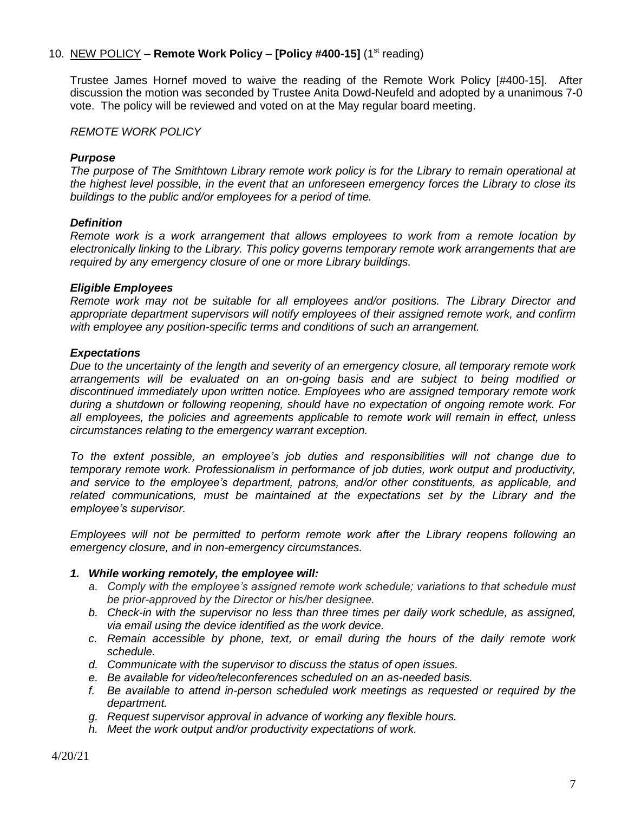# 10. NEW POLICY – **Remote Work Policy – [Policy #400-15]** (1<sup>st</sup> reading)

Trustee James Hornef moved to waive the reading of the Remote Work Policy [#400-15]. After discussion the motion was seconded by Trustee Anita Dowd-Neufeld and adopted by a unanimous 7-0 vote. The policy will be reviewed and voted on at the May regular board meeting.

*REMOTE WORK POLICY*

#### *Purpose*

*The purpose of The Smithtown Library remote work policy is for the Library to remain operational at the highest level possible, in the event that an unforeseen emergency forces the Library to close its buildings to the public and/or employees for a period of time.* 

#### *Definition*

*Remote work is a work arrangement that allows employees to work from a remote location by electronically linking to the Library. This policy governs temporary remote work arrangements that are required by any emergency closure of one or more Library buildings.*

#### *Eligible Employees*

*Remote work may not be suitable for all employees and/or positions. The Library Director and appropriate department supervisors will notify employees of their assigned remote work, and confirm with employee any position-specific terms and conditions of such an arrangement.* 

#### *Expectations*

*Due to the uncertainty of the length and severity of an emergency closure, all temporary remote work arrangements will be evaluated on an on-going basis and are subject to being modified or discontinued immediately upon written notice. Employees who are assigned temporary remote work during a shutdown or following reopening, should have no expectation of ongoing remote work. For all employees, the policies and agreements applicable to remote work will remain in effect, unless circumstances relating to the emergency warrant exception.*

*To the extent possible, an employee's job duties and responsibilities will not change due to temporary remote work. Professionalism in performance of job duties, work output and productivity, and service to the employee's department, patrons, and/or other constituents, as applicable, and related communications, must be maintained at the expectations set by the Library and the employee's supervisor.* 

*Employees will not be permitted to perform remote work after the Library reopens following an emergency closure, and in non-emergency circumstances.*

#### *1. While working remotely, the employee will:*

- *a. Comply with the employee's assigned remote work schedule; variations to that schedule must be prior-approved by the Director or his/her designee.*
- *b. Check-in with the supervisor no less than three times per daily work schedule, as assigned, via email using the device identified as the work device.*
- *c. Remain accessible by phone, text, or email during the hours of the daily remote work schedule.*
- *d. Communicate with the supervisor to discuss the status of open issues.*
- *e. Be available for video/teleconferences scheduled on an as-needed basis.*
- *f. Be available to attend in-person scheduled work meetings as requested or required by the department.*
- *g. Request supervisor approval in advance of working any flexible hours.*
- *h. Meet the work output and/or productivity expectations of work.*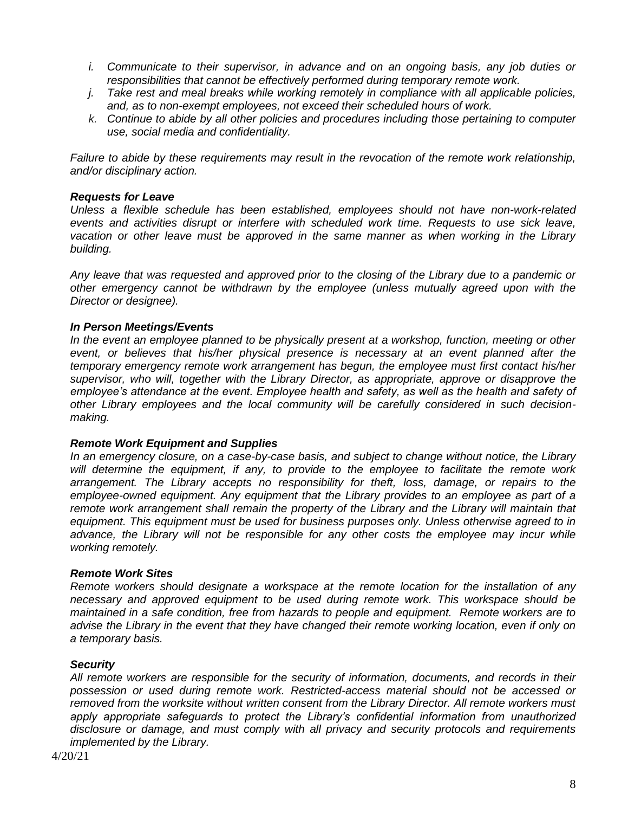- *i. Communicate to their supervisor, in advance and on an ongoing basis, any job duties or responsibilities that cannot be effectively performed during temporary remote work.*
- *j. Take rest and meal breaks while working remotely in compliance with all applicable policies, and, as to non-exempt employees, not exceed their scheduled hours of work.*
- *k. Continue to abide by all other policies and procedures including those pertaining to computer use, social media and confidentiality.*

*Failure to abide by these requirements may result in the revocation of the remote work relationship, and/or disciplinary action.*

#### *Requests for Leave*

*Unless a flexible schedule has been established, employees should not have non-work-related*  events and activities disrupt or interfere with scheduled work time. Requests to use sick leave, vacation or other leave must be approved in the same manner as when working in the Library *building.*

*Any leave that was requested and approved prior to the closing of the Library due to a pandemic or other emergency cannot be withdrawn by the employee (unless mutually agreed upon with the Director or designee).*

#### *In Person Meetings/Events*

*In the event an employee planned to be physically present at a workshop, function, meeting or other event, or believes that his/her physical presence is necessary at an event planned after the temporary emergency remote work arrangement has begun, the employee must first contact his/her supervisor, who will, together with the Library Director, as appropriate, approve or disapprove the employee's attendance at the event. Employee health and safety, as well as the health and safety of other Library employees and the local community will be carefully considered in such decisionmaking.*

#### *Remote Work Equipment and Supplies*

*In an emergency closure, on a case-by-case basis, and subject to change without notice, the Library will determine the equipment, if any, to provide to the employee to facilitate the remote work arrangement. The Library accepts no responsibility for theft, loss, damage, or repairs to the employee-owned equipment. Any equipment that the Library provides to an employee as part of a remote work arrangement shall remain the property of the Library and the Library will maintain that equipment. This equipment must be used for business purposes only. Unless otherwise agreed to in advance, the Library will not be responsible for any other costs the employee may incur while working remotely.*

#### *Remote Work Sites*

*Remote workers should designate a workspace at the remote location for the installation of any necessary and approved equipment to be used during remote work. This workspace should be maintained in a safe condition, free from hazards to people and equipment. Remote workers are to advise the Library in the event that they have changed their remote working location, even if only on a temporary basis.* 

# *Security*

*All remote workers are responsible for the security of information, documents, and records in their possession or used during remote work. Restricted-access material should not be accessed or removed from the worksite without written consent from the Library Director. All remote workers must apply appropriate safeguards to protect the Library's confidential information from unauthorized disclosure or damage, and must comply with all privacy and security protocols and requirements implemented by the Library.*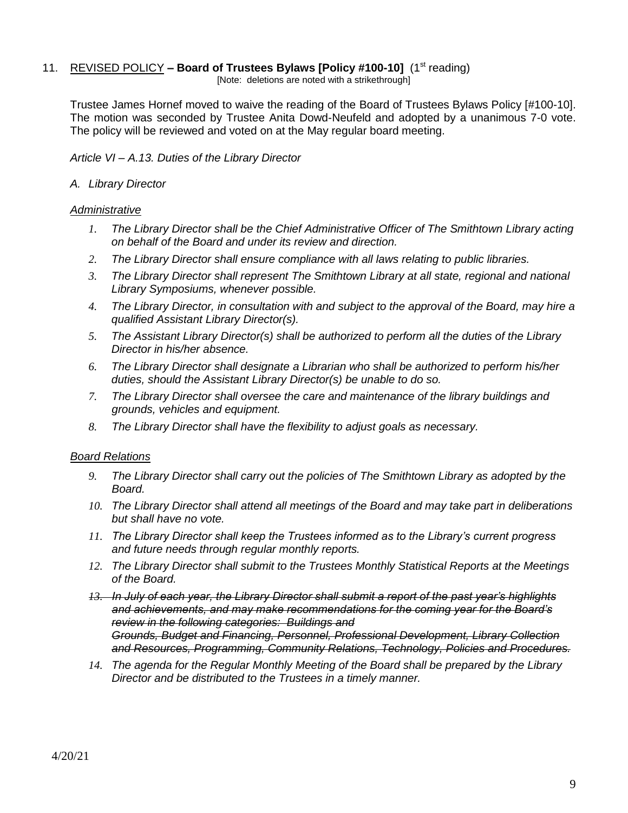# 11. REVISED POLICY - **Board of Trustees Bylaws [Policy #100-10]** (1<sup>st</sup> reading)

[Note: deletions are noted with a strikethrough]

Trustee James Hornef moved to waive the reading of the Board of Trustees Bylaws Policy [#100-10]. The motion was seconded by Trustee Anita Dowd-Neufeld and adopted by a unanimous 7-0 vote. The policy will be reviewed and voted on at the May regular board meeting.

*Article VI – A.13. Duties of the Library Director*

# *A. Library Director*

#### *Administrative*

- *1. The Library Director shall be the Chief Administrative Officer of The Smithtown Library acting on behalf of the Board and under its review and direction.*
- *2. The Library Director shall ensure compliance with all laws relating to public libraries.*
- *3. The Library Director shall represent The Smithtown Library at all state, regional and national Library Symposiums, whenever possible.*
- *4. The Library Director, in consultation with and subject to the approval of the Board, may hire a qualified Assistant Library Director(s).*
- *5. The Assistant Library Director(s) shall be authorized to perform all the duties of the Library Director in his/her absence.*
- *6. The Library Director shall designate a Librarian who shall be authorized to perform his/her duties, should the Assistant Library Director(s) be unable to do so.*
- *7. The Library Director shall oversee the care and maintenance of the library buildings and grounds, vehicles and equipment.*
- *8. The Library Director shall have the flexibility to adjust goals as necessary.*

# *Board Relations*

- *9. The Library Director shall carry out the policies of The Smithtown Library as adopted by the Board.*
- *10. The Library Director shall attend all meetings of the Board and may take part in deliberations but shall have no vote.*
- *11. The Library Director shall keep the Trustees informed as to the Library's current progress and future needs through regular monthly reports.*
- *12. The Library Director shall submit to the Trustees Monthly Statistical Reports at the Meetings of the Board.*
- *13. In July of each year, the Library Director shall submit a report of the past year's highlights and achievements, and may make recommendations for the coming year for the Board's review in the following categories: Buildings and Grounds, Budget and Financing, Personnel, Professional Development, Library Collection and Resources, Programming, Community Relations, Technology, Policies and Procedures.*
- *14. The agenda for the Regular Monthly Meeting of the Board shall be prepared by the Library Director and be distributed to the Trustees in a timely manner.*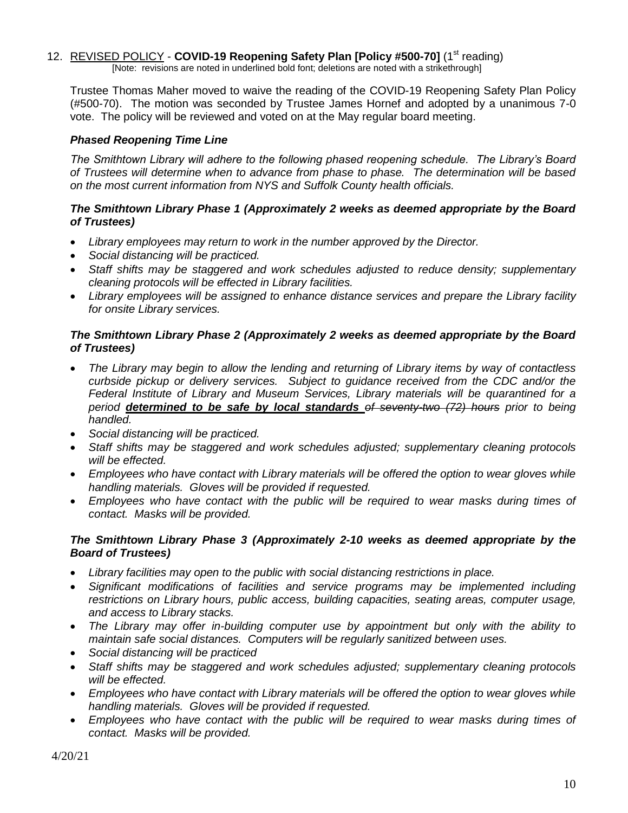# 12. REVISED POLICY - **COVID-19 Reopening Safety Plan [Policy #500-70]** (1<sup>st</sup> reading)

[Note: revisions are noted in underlined bold font; deletions are noted with a strikethrough]

Trustee Thomas Maher moved to waive the reading of the COVID-19 Reopening Safety Plan Policy (#500-70). The motion was seconded by Trustee James Hornef and adopted by a unanimous 7-0 vote. The policy will be reviewed and voted on at the May regular board meeting.

# *Phased Reopening Time Line*

*The Smithtown Library will adhere to the following phased reopening schedule. The Library's Board of Trustees will determine when to advance from phase to phase. The determination will be based on the most current information from NYS and Suffolk County health officials.*

# *The Smithtown Library Phase 1 (Approximately 2 weeks as deemed appropriate by the Board of Trustees)*

- *Library employees may return to work in the number approved by the Director.*
- *Social distancing will be practiced.*
- *Staff shifts may be staggered and work schedules adjusted to reduce density; supplementary cleaning protocols will be effected in Library facilities.*
- *Library employees will be assigned to enhance distance services and prepare the Library facility for onsite Library services.*

# *The Smithtown Library Phase 2 (Approximately 2 weeks as deemed appropriate by the Board of Trustees)*

- *The Library may begin to allow the lending and returning of Library items by way of contactless curbside pickup or delivery services. Subject to guidance received from the CDC and/or the Federal Institute of Library and Museum Services, Library materials will be quarantined for a period determined to be safe by local standards of seventy-two (72) hours prior to being handled.*
- *Social distancing will be practiced.*
- *Staff shifts may be staggered and work schedules adjusted; supplementary cleaning protocols will be effected.*
- *Employees who have contact with Library materials will be offered the option to wear gloves while handling materials. Gloves will be provided if requested.*
- *Employees who have contact with the public will be required to wear masks during times of contact. Masks will be provided.*

# *The Smithtown Library Phase 3 (Approximately 2-10 weeks as deemed appropriate by the Board of Trustees)*

- *Library facilities may open to the public with social distancing restrictions in place.*
- *Significant modifications of facilities and service programs may be implemented including restrictions on Library hours, public access, building capacities, seating areas, computer usage, and access to Library stacks.*
- *The Library may offer in-building computer use by appointment but only with the ability to maintain safe social distances. Computers will be regularly sanitized between uses.*
- *Social distancing will be practiced*
- *Staff shifts may be staggered and work schedules adjusted; supplementary cleaning protocols will be effected.*
- *Employees who have contact with Library materials will be offered the option to wear gloves while handling materials. Gloves will be provided if requested.*
- *Employees who have contact with the public will be required to wear masks during times of contact. Masks will be provided.*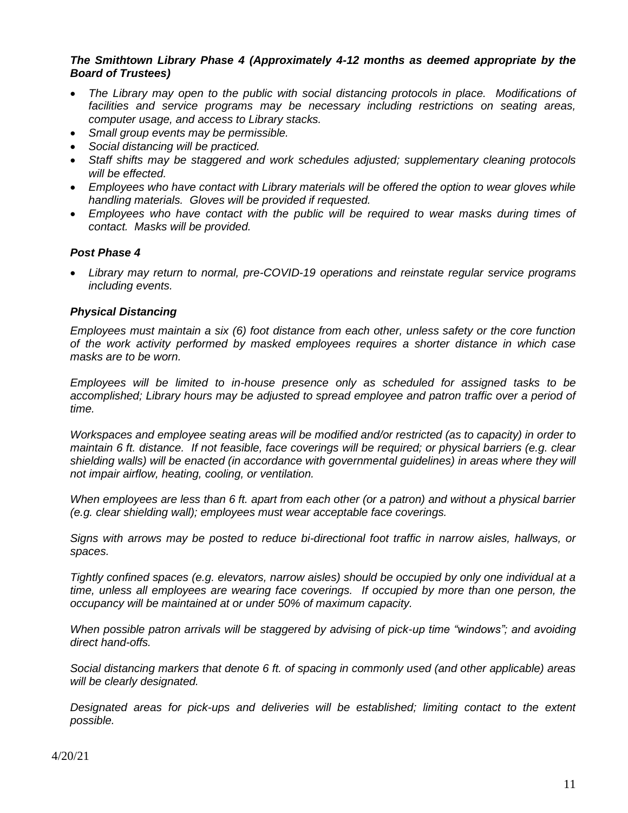# *The Smithtown Library Phase 4 (Approximately 4-12 months as deemed appropriate by the Board of Trustees)*

- *The Library may open to the public with social distancing protocols in place. Modifications of facilities and service programs may be necessary including restrictions on seating areas, computer usage, and access to Library stacks.*
- *Small group events may be permissible.*
- *Social distancing will be practiced.*
- *Staff shifts may be staggered and work schedules adjusted; supplementary cleaning protocols will be effected.*
- *Employees who have contact with Library materials will be offered the option to wear gloves while handling materials. Gloves will be provided if requested.*
- *Employees who have contact with the public will be required to wear masks during times of contact. Masks will be provided.*

# *Post Phase 4*

 *Library may return to normal, pre-COVID-19 operations and reinstate regular service programs including events.*

#### *Physical Distancing*

*Employees must maintain a six (6) foot distance from each other, unless safety or the core function of the work activity performed by masked employees requires a shorter distance in which case masks are to be worn.*

*Employees will be limited to in-house presence only as scheduled for assigned tasks to be*  accomplished; Library hours may be adjusted to spread employee and patron traffic over a period of *time.*

*Workspaces and employee seating areas will be modified and/or restricted (as to capacity) in order to maintain 6 ft. distance. If not feasible, face coverings will be required; or physical barriers (e.g. clear shielding walls) will be enacted (in accordance with governmental guidelines) in areas where they will not impair airflow, heating, cooling, or ventilation.*

*When employees are less than 6 ft. apart from each other (or a patron) and without a physical barrier (e.g. clear shielding wall); employees must wear acceptable face coverings.*

*Signs with arrows may be posted to reduce bi-directional foot traffic in narrow aisles, hallways, or spaces.*

*Tightly confined spaces (e.g. elevators, narrow aisles) should be occupied by only one individual at a time, unless all employees are wearing face coverings. If occupied by more than one person, the occupancy will be maintained at or under 50% of maximum capacity.*

*When possible patron arrivals will be staggered by advising of pick-up time "windows"; and avoiding direct hand-offs.*

*Social distancing markers that denote 6 ft. of spacing in commonly used (and other applicable) areas will be clearly designated.*

*Designated areas for pick-ups and deliveries will be established; limiting contact to the extent possible.*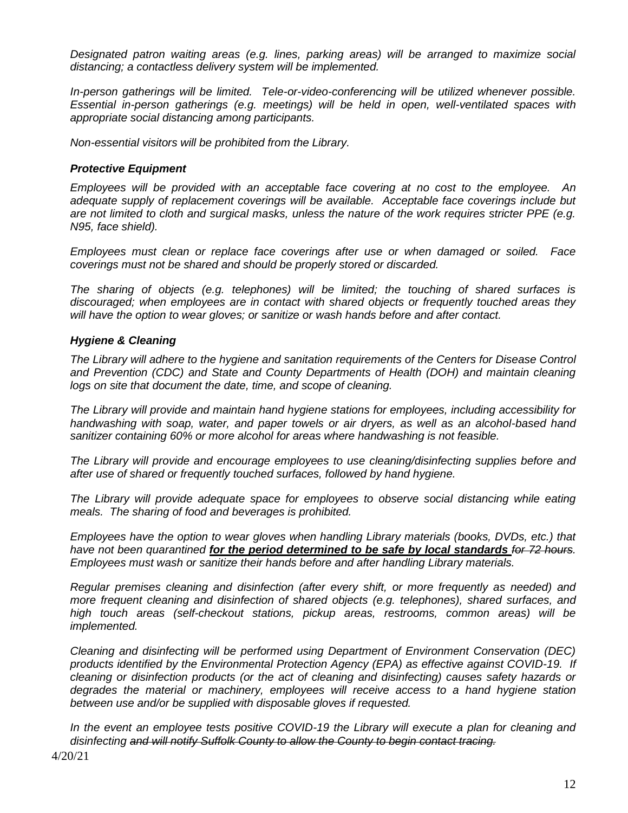*Designated patron waiting areas (e.g. lines, parking areas) will be arranged to maximize social distancing; a contactless delivery system will be implemented.*

*In-person gatherings will be limited. Tele-or-video-conferencing will be utilized whenever possible. Essential in-person gatherings (e.g. meetings) will be held in open, well-ventilated spaces with appropriate social distancing among participants.*

*Non-essential visitors will be prohibited from the Library.*

#### *Protective Equipment*

*Employees will be provided with an acceptable face covering at no cost to the employee. An adequate supply of replacement coverings will be available. Acceptable face coverings include but are not limited to cloth and surgical masks, unless the nature of the work requires stricter PPE (e.g. N95, face shield).*

*Employees must clean or replace face coverings after use or when damaged or soiled. Face coverings must not be shared and should be properly stored or discarded.*

*The sharing of objects (e.g. telephones) will be limited; the touching of shared surfaces is discouraged; when employees are in contact with shared objects or frequently touched areas they will have the option to wear gloves; or sanitize or wash hands before and after contact.*

#### *Hygiene & Cleaning*

*The Library will adhere to the hygiene and sanitation requirements of the Centers for Disease Control and Prevention (CDC) and State and County Departments of Health (DOH) and maintain cleaning logs on site that document the date, time, and scope of cleaning.*

*The Library will provide and maintain hand hygiene stations for employees, including accessibility for handwashing with soap, water, and paper towels or air dryers, as well as an alcohol-based hand sanitizer containing 60% or more alcohol for areas where handwashing is not feasible.*

*The Library will provide and encourage employees to use cleaning/disinfecting supplies before and after use of shared or frequently touched surfaces, followed by hand hygiene.*

*The Library will provide adequate space for employees to observe social distancing while eating meals. The sharing of food and beverages is prohibited.*

*Employees have the option to wear gloves when handling Library materials (books, DVDs, etc.) that*  have not been quarantined **for the period determined to be safe by local standards** for 72 hours. *Employees must wash or sanitize their hands before and after handling Library materials.* 

*Regular premises cleaning and disinfection (after every shift, or more frequently as needed) and more frequent cleaning and disinfection of shared objects (e.g. telephones), shared surfaces, and high touch areas (self-checkout stations, pickup areas, restrooms, common areas) will be implemented.*

*Cleaning and disinfecting will be performed using Department of Environment Conservation (DEC) products identified by the Environmental Protection Agency (EPA) as effective against COVID-19. If cleaning or disinfection products (or the act of cleaning and disinfecting) causes safety hazards or degrades the material or machinery, employees will receive access to a hand hygiene station between use and/or be supplied with disposable gloves if requested.*

*In the event an employee tests positive COVID-19 the Library will execute a plan for cleaning and disinfecting and will notify Suffolk County to allow the County to begin contact tracing.*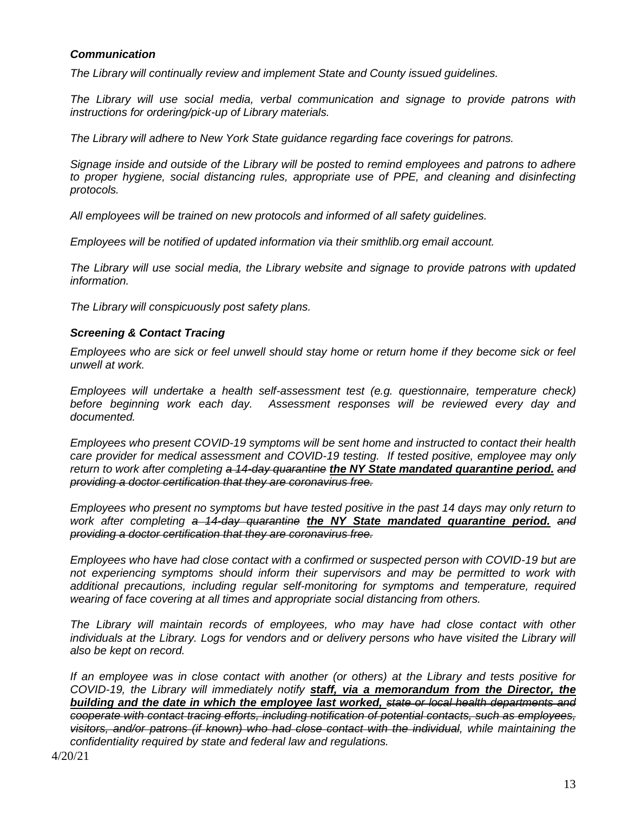# *Communication*

*The Library will continually review and implement State and County issued guidelines.*

*The Library will use social media, verbal communication and signage to provide patrons with instructions for ordering/pick-up of Library materials.* 

*The Library will adhere to New York State guidance regarding face coverings for patrons.*

*Signage inside and outside of the Library will be posted to remind employees and patrons to adhere*  to proper hygiene, social distancing rules, appropriate use of PPE, and cleaning and disinfecting *protocols.*

*All employees will be trained on new protocols and informed of all safety guidelines.*

*Employees will be notified of updated information via their smithlib.org email account.*

*The Library will use social media, the Library website and signage to provide patrons with updated information.*

*The Library will conspicuously post safety plans.*

# *Screening & Contact Tracing*

*Employees who are sick or feel unwell should stay home or return home if they become sick or feel unwell at work.*

*Employees will undertake a health self-assessment test (e.g. questionnaire, temperature check) before beginning work each day. Assessment responses will be reviewed every day and documented.*

*Employees who present COVID-19 symptoms will be sent home and instructed to contact their health care provider for medical assessment and COVID-19 testing. If tested positive, employee may only return to work after completing a 14-day quarantine the NY State mandated quarantine period. and providing a doctor certification that they are coronavirus free.*

*Employees who present no symptoms but have tested positive in the past 14 days may only return to work after completing a 14-day quarantine the NY State mandated quarantine period. and providing a doctor certification that they are coronavirus free.*

*Employees who have had close contact with a confirmed or suspected person with COVID-19 but are not experiencing symptoms should inform their supervisors and may be permitted to work with additional precautions, including regular self-monitoring for symptoms and temperature, required wearing of face covering at all times and appropriate social distancing from others.*

*The Library will maintain records of employees, who may have had close contact with other individuals at the Library. Logs for vendors and or delivery persons who have visited the Library will also be kept on record.*

*If an employee was in close contact with another (or others) at the Library and tests positive for COVID-19, the Library will immediately notify staff, via a memorandum from the Director, the building and the date in which the employee last worked, state or local health departments and cooperate with contact tracing efforts, including notification of potential contacts, such as employees, visitors, and/or patrons (if known) who had close contact with the individual, while maintaining the confidentiality required by state and federal law and regulations.*